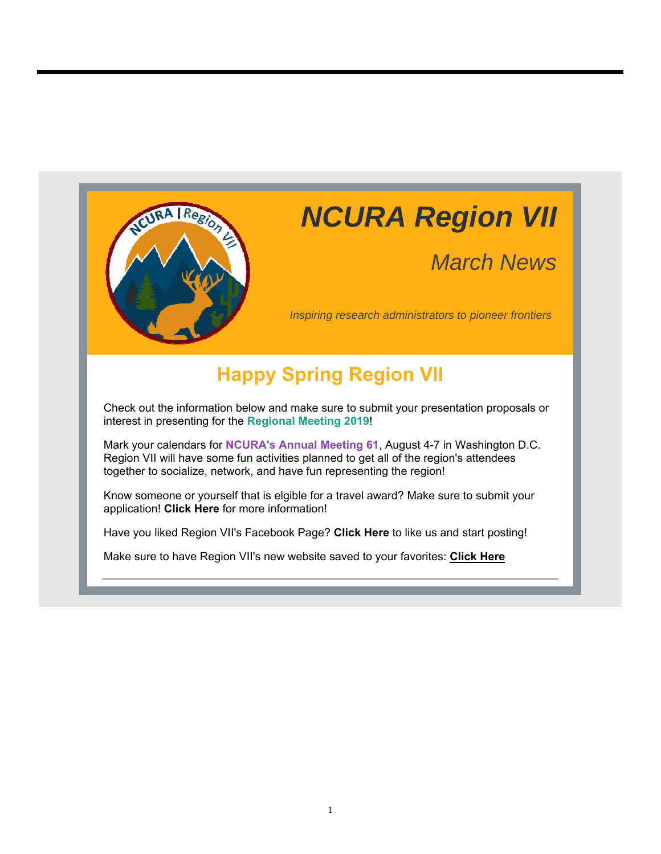

# *NCURA Region VII*

# *March News*

*Inspiring research administrators to pioneer frontiers*

### **Happy Spring Region VII**

Check out the information below and make sure to submit your presentation proposals or interest in presenting for the **Regional Meeting 2019**!

Mark your calendars for **NCURA's Annual Meeting 61**, August 4-7 in Washington D.C. Region VII will have some fun activities planned to get all of the region's attendees together to socialize, network, and have fun representing the region!

Know someone or yourself that is elgible for a travel award? Make sure to submit your application! **Click Here** for more information!

Have you liked Region VII's Facebook Page? **Click Here** to like us and start posting!

Make sure to have Region VII's new website saved to your favorites: **Click Here**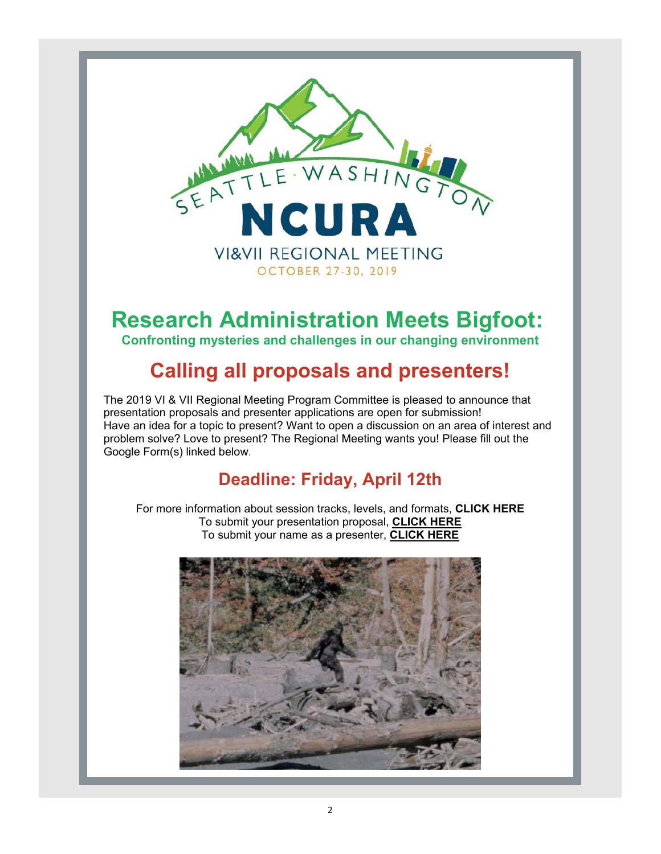

# **Research Administration Meets Bigfoot:**

**Confronting mysteries and challenges in our changing environment**

### **Calling all proposals and presenters!**

The 2019 VI & VII Regional Meeting Program Committee is pleased to announce that presentation proposals and presenter applications are open for submission! Have an idea for a topic to present? Want to open a discussion on an area of interest and problem solve? Love to present? The Regional Meeting wants you! Please fill out the Google Form(s) linked below.

### **Deadline: Friday, April 12th**

For more information about session tracks, levels, and formats, **CLICK HERE** To submit your presentation proposal, **CLICK HERE** To submit your name as a presenter, **CLICK HERE**

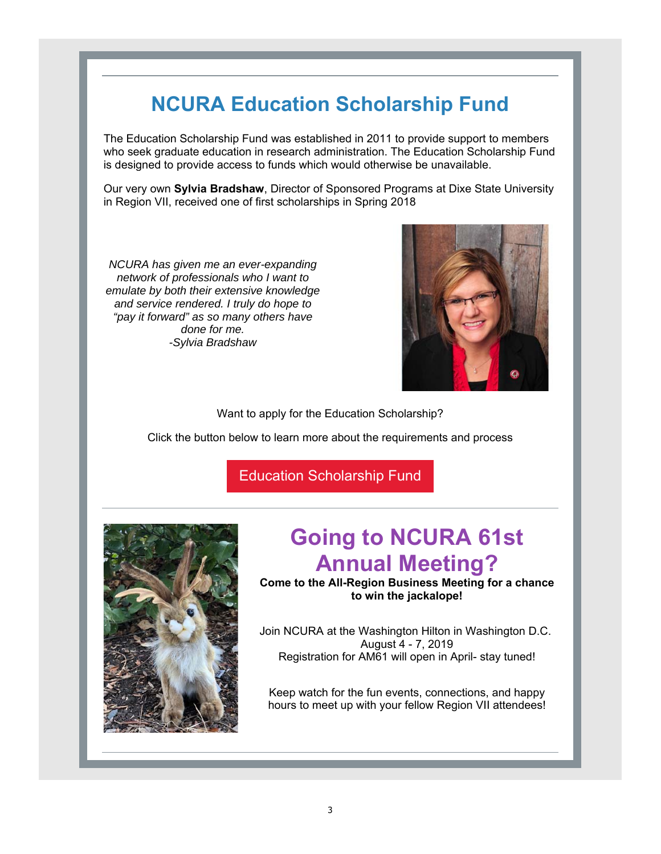## **NCURA Education Scholarship Fund**

The Education Scholarship Fund was established in 2011 to provide support to members who seek graduate education in research administration. The Education Scholarship Fund is designed to provide access to funds which would otherwise be unavailable.

Our very own **Sylvia Bradshaw**, Director of Sponsored Programs at Dixe State University in Region VII, received one of first scholarships in Spring 2018

*NCURA has given me an ever-expanding network of professionals who I want to emulate by both their extensive knowledge and service rendered. I truly do hope to "pay it forward" as so many others have done for me. -Sylvia Bradshaw*



Want to apply for the Education Scholarship?

Click the button below to learn more about the requirements and process

Education Scholarship Fund



# **Going to NCURA 61st Annual Meeting?**

**Come to the All-Region Business Meeting for a chance to win the jackalope!**

Join NCURA at the Washington Hilton in Washington D.C. August 4 - 7, 2019 Registration for AM61 will open in April- stay tuned!

Keep watch for the fun events, connections, and happy hours to meet up with your fellow Region VII attendees!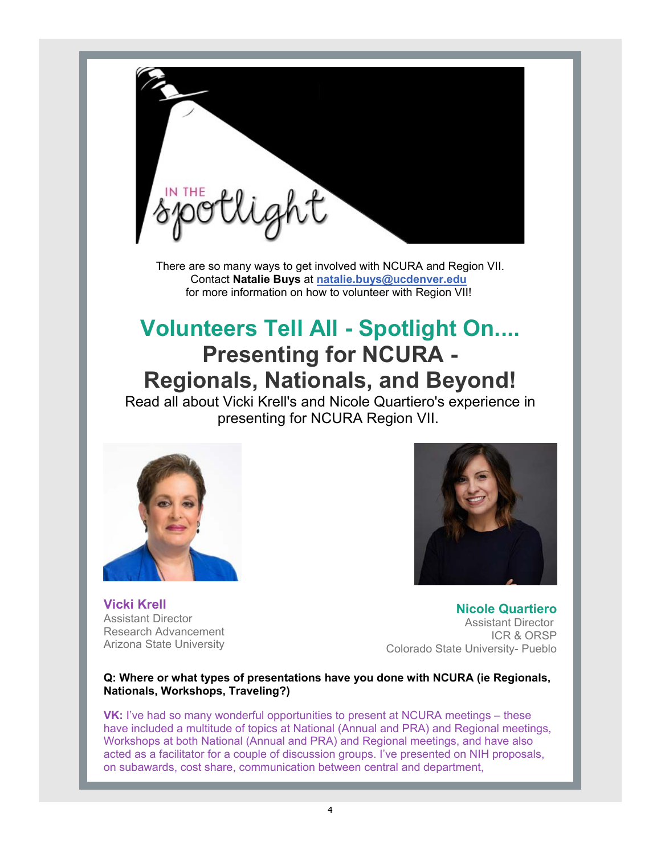

There are so many ways to get involved with NCURA and Region VII. Contact **Natalie Buys** at **natalie.buys@ucdenver.edu** for more information on how to volunteer with Region VII!

## **Volunteers Tell All - Spotlight On.... Presenting for NCURA - Regionals, Nationals, and Beyond!**

Read all about Vicki Krell's and Nicole Quartiero's experience in presenting for NCURA Region VII.



**Vicki Krell** Assistant Director Research Advancement Arizona State University

**Nicole Quartiero** Assistant Director ICR & ORSP Colorado State University- Pueblo

#### **Q: Where or what types of presentations have you done with NCURA (ie Regionals, Nationals, Workshops, Traveling?)**

**VK:** I've had so many wonderful opportunities to present at NCURA meetings – these have included a multitude of topics at National (Annual and PRA) and Regional meetings, Workshops at both National (Annual and PRA) and Regional meetings, and have also acted as a facilitator for a couple of discussion groups. I've presented on NIH proposals, on subawards, cost share, communication between central and department,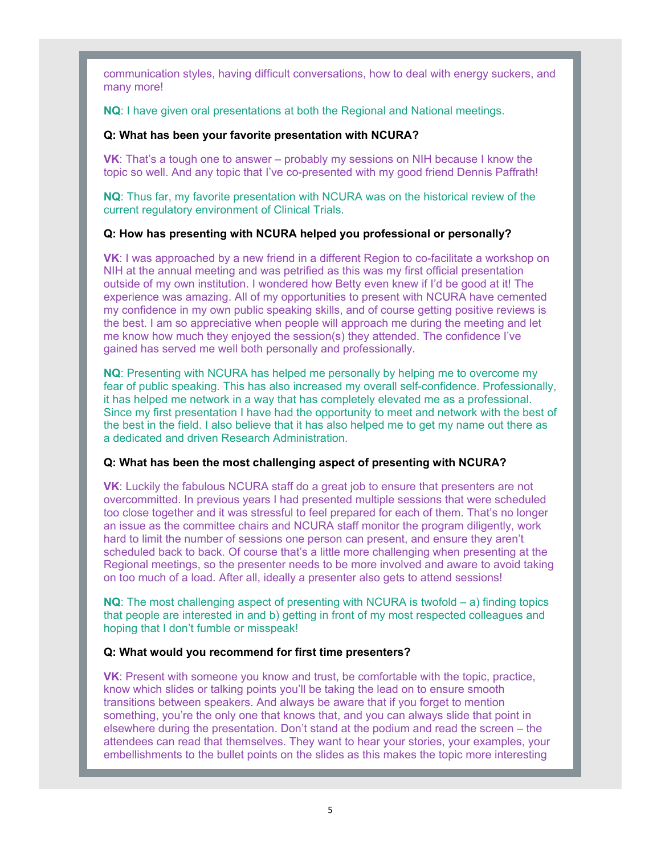communication styles, having difficult conversations, how to deal with energy suckers, and many more!

**NQ**: I have given oral presentations at both the Regional and National meetings.

#### **Q: What has been your favorite presentation with NCURA?**

**VK**: That's a tough one to answer – probably my sessions on NIH because I know the topic so well. And any topic that I've co-presented with my good friend Dennis Paffrath!

**NQ**: Thus far, my favorite presentation with NCURA was on the historical review of the current regulatory environment of Clinical Trials.

#### **Q: How has presenting with NCURA helped you professional or personally?**

**VK**: I was approached by a new friend in a different Region to co-facilitate a workshop on NIH at the annual meeting and was petrified as this was my first official presentation outside of my own institution. I wondered how Betty even knew if I'd be good at it! The experience was amazing. All of my opportunities to present with NCURA have cemented my confidence in my own public speaking skills, and of course getting positive reviews is the best. I am so appreciative when people will approach me during the meeting and let me know how much they enjoyed the session(s) they attended. The confidence I've gained has served me well both personally and professionally.

**NQ**: Presenting with NCURA has helped me personally by helping me to overcome my fear of public speaking. This has also increased my overall self-confidence. Professionally, it has helped me network in a way that has completely elevated me as a professional. Since my first presentation I have had the opportunity to meet and network with the best of the best in the field. I also believe that it has also helped me to get my name out there as a dedicated and driven Research Administration.

#### **Q: What has been the most challenging aspect of presenting with NCURA?**

**VK**: Luckily the fabulous NCURA staff do a great job to ensure that presenters are not overcommitted. In previous years I had presented multiple sessions that were scheduled too close together and it was stressful to feel prepared for each of them. That's no longer an issue as the committee chairs and NCURA staff monitor the program diligently, work hard to limit the number of sessions one person can present, and ensure they aren't scheduled back to back. Of course that's a little more challenging when presenting at the Regional meetings, so the presenter needs to be more involved and aware to avoid taking on too much of a load. After all, ideally a presenter also gets to attend sessions!

**NQ**: The most challenging aspect of presenting with NCURA is twofold – a) finding topics that people are interested in and b) getting in front of my most respected colleagues and hoping that I don't fumble or misspeak!

#### **Q: What would you recommend for first time presenters?**

**VK**: Present with someone you know and trust, be comfortable with the topic, practice, know which slides or talking points you'll be taking the lead on to ensure smooth transitions between speakers. And always be aware that if you forget to mention something, you're the only one that knows that, and you can always slide that point in elsewhere during the presentation. Don't stand at the podium and read the screen – the attendees can read that themselves. They want to hear your stories, your examples, your embellishments to the bullet points on the slides as this makes the topic more interesting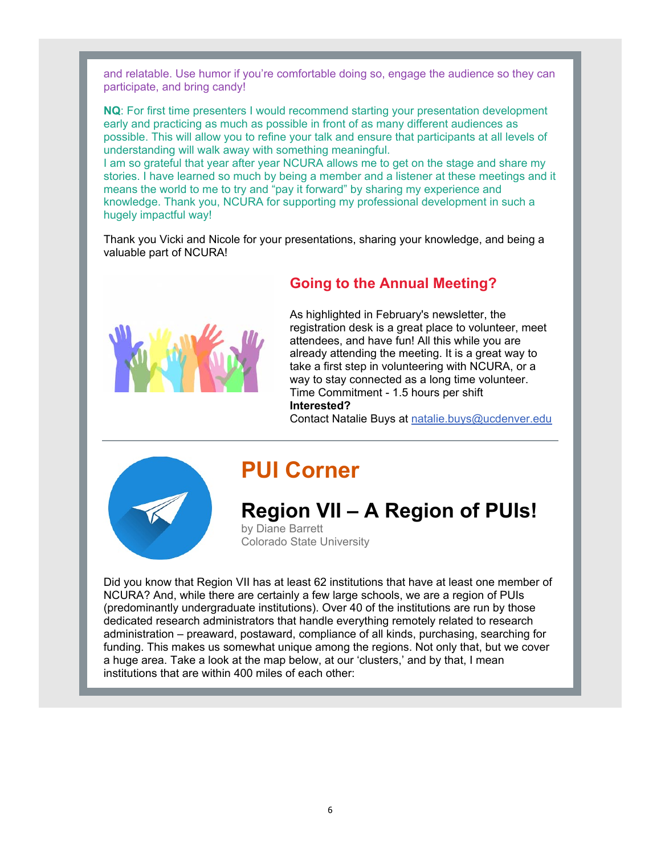and relatable. Use humor if you're comfortable doing so, engage the audience so they can participate, and bring candy!

**NQ**: For first time presenters I would recommend starting your presentation development early and practicing as much as possible in front of as many different audiences as possible. This will allow you to refine your talk and ensure that participants at all levels of understanding will walk away with something meaningful.

I am so grateful that year after year NCURA allows me to get on the stage and share my stories. I have learned so much by being a member and a listener at these meetings and it means the world to me to try and "pay it forward" by sharing my experience and knowledge. Thank you, NCURA for supporting my professional development in such a hugely impactful way!

Thank you Vicki and Nicole for your presentations, sharing your knowledge, and being a valuable part of NCURA!



### **Going to the Annual Meeting?**

As highlighted in February's newsletter, the registration desk is a great place to volunteer, meet attendees, and have fun! All this while you are already attending the meeting. It is a great way to take a first step in volunteering with NCURA, or a way to stay connected as a long time volunteer. Time Commitment - 1.5 hours per shift **Interested?**

Contact Natalie Buys at natalie.buys@ucdenver.edu



### **PUI Corner**

### **Region VII – A Region of PUIs!**

by Diane Barrett Colorado State University

Did you know that Region VII has at least 62 institutions that have at least one member of NCURA? And, while there are certainly a few large schools, we are a region of PUIs (predominantly undergraduate institutions). Over 40 of the institutions are run by those dedicated research administrators that handle everything remotely related to research administration – preaward, postaward, compliance of all kinds, purchasing, searching for funding. This makes us somewhat unique among the regions. Not only that, but we cover a huge area. Take a look at the map below, at our 'clusters,' and by that, I mean institutions that are within 400 miles of each other: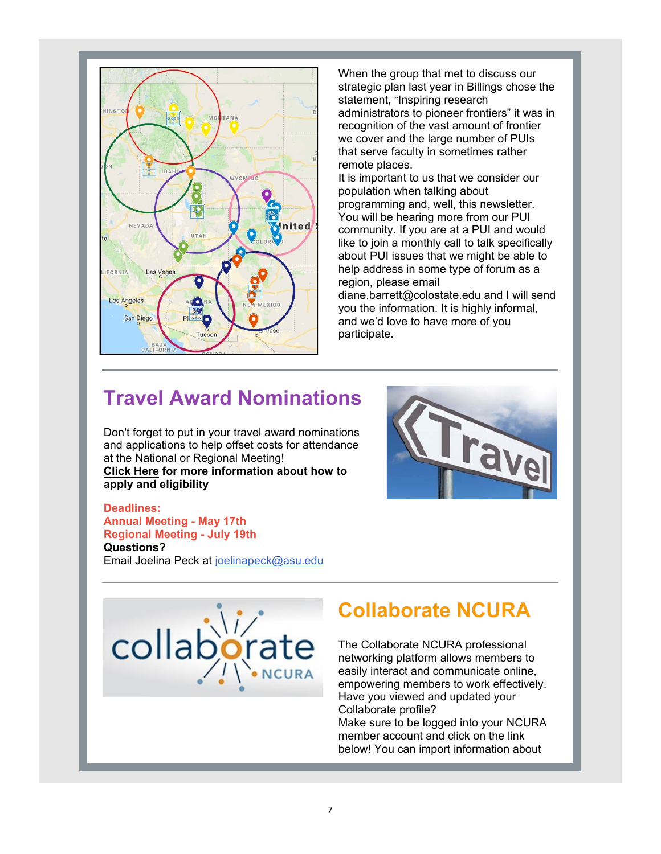

When the group that met to discuss our strategic plan last year in Billings chose the statement, "Inspiring research administrators to pioneer frontiers" it was in recognition of the vast amount of frontier we cover and the large number of PUIs that serve faculty in sometimes rather remote places.

It is important to us that we consider our population when talking about programming and, well, this newsletter. You will be hearing more from our PUI community. If you are at a PUI and would like to join a monthly call to talk specifically about PUI issues that we might be able to help address in some type of forum as a region, please email

diane.barrett@colostate.edu and I will send you the information. It is highly informal, and we'd love to have more of you participate.

### **Travel Award Nominations**

Don't forget to put in your travel award nominations and applications to help offset costs for attendance at the National or Regional Meeting! **Click Here for more information about how to apply and eligibility** 



#### **Deadlines: Annual Meeting - May 17th**

**Regional Meeting - July 19th Questions?** Email Joelina Peck at joelinapeck@asu.edu



### **Collaborate NCURA**

The Collaborate NCURA professional networking platform allows members to easily interact and communicate online, empowering members to work effectively. Have you viewed and updated your Collaborate profile? Make sure to be logged into your NCURA member account and click on the link

below! You can import information about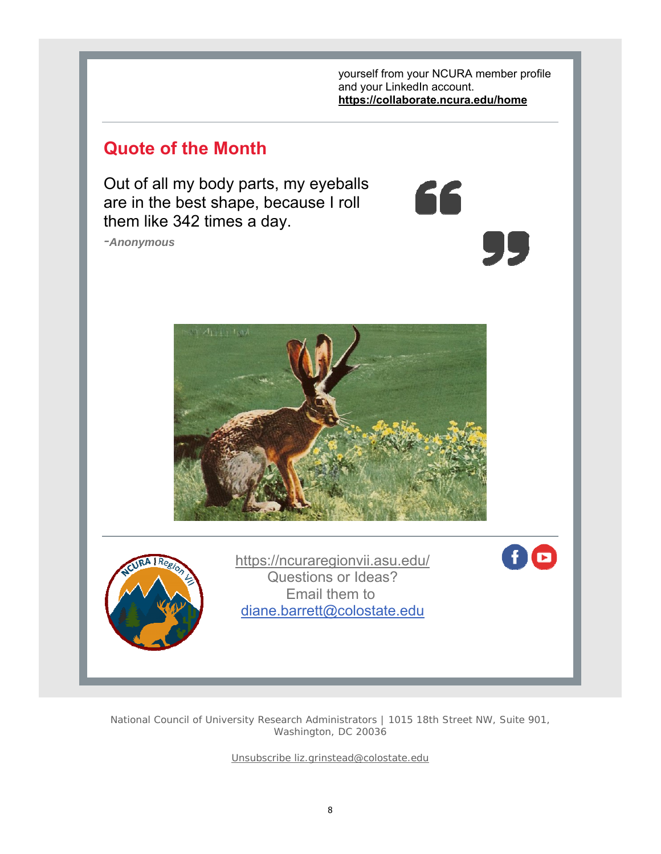yourself from your NCURA member profile and your LinkedIn account. **https://collaborate.ncura.edu/home**

66

<u>ур</u>

### **Quote of the Month**

Out of all my body parts, my eyeballs are in the best shape, because I roll them like 342 times a day.

*-Anonymous*





https://ncuraregionvii.asu.edu/ Questions or Ideas? Email them to diane.barrett@colostate.edu

fid

National Council of University Research Administrators | 1015 18th Street NW, Suite 901, Washington, DC 20036

Unsubscribe liz.grinstead@colostate.edu